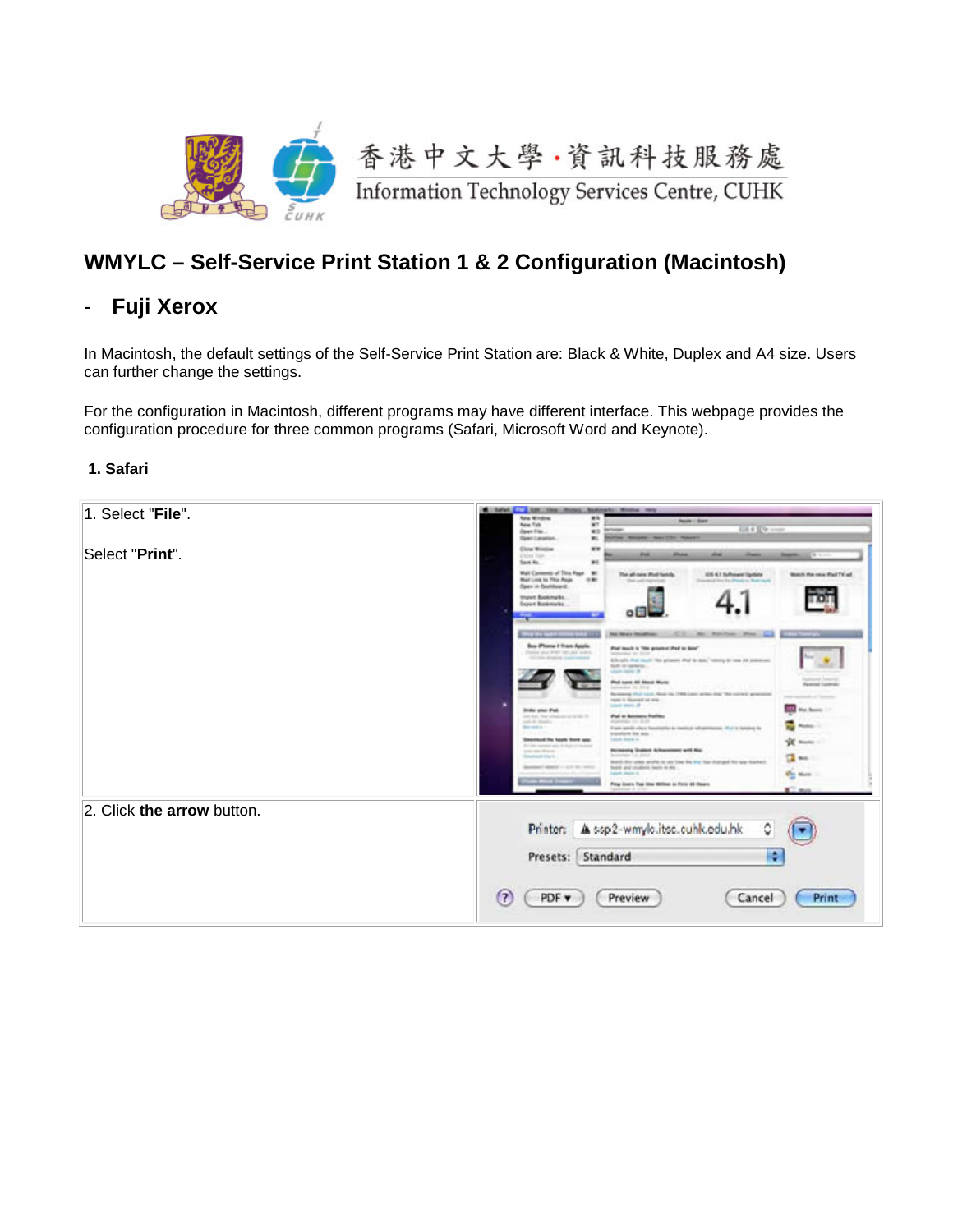

# **WMYLC – Self-Service Print Station 1 & 2 Configuration (Macintosh)**

## - **Fuji Xerox**

In Macintosh, the default settings of the Self-Service Print Station are: Black & White, Duplex and A4 size. Users can further change the settings.

For the configuration in Macintosh, different programs may have different interface. This webpage provides the configuration procedure for three common programs (Safari, Microsoft Word and Keynote).

#### **1. Safari**

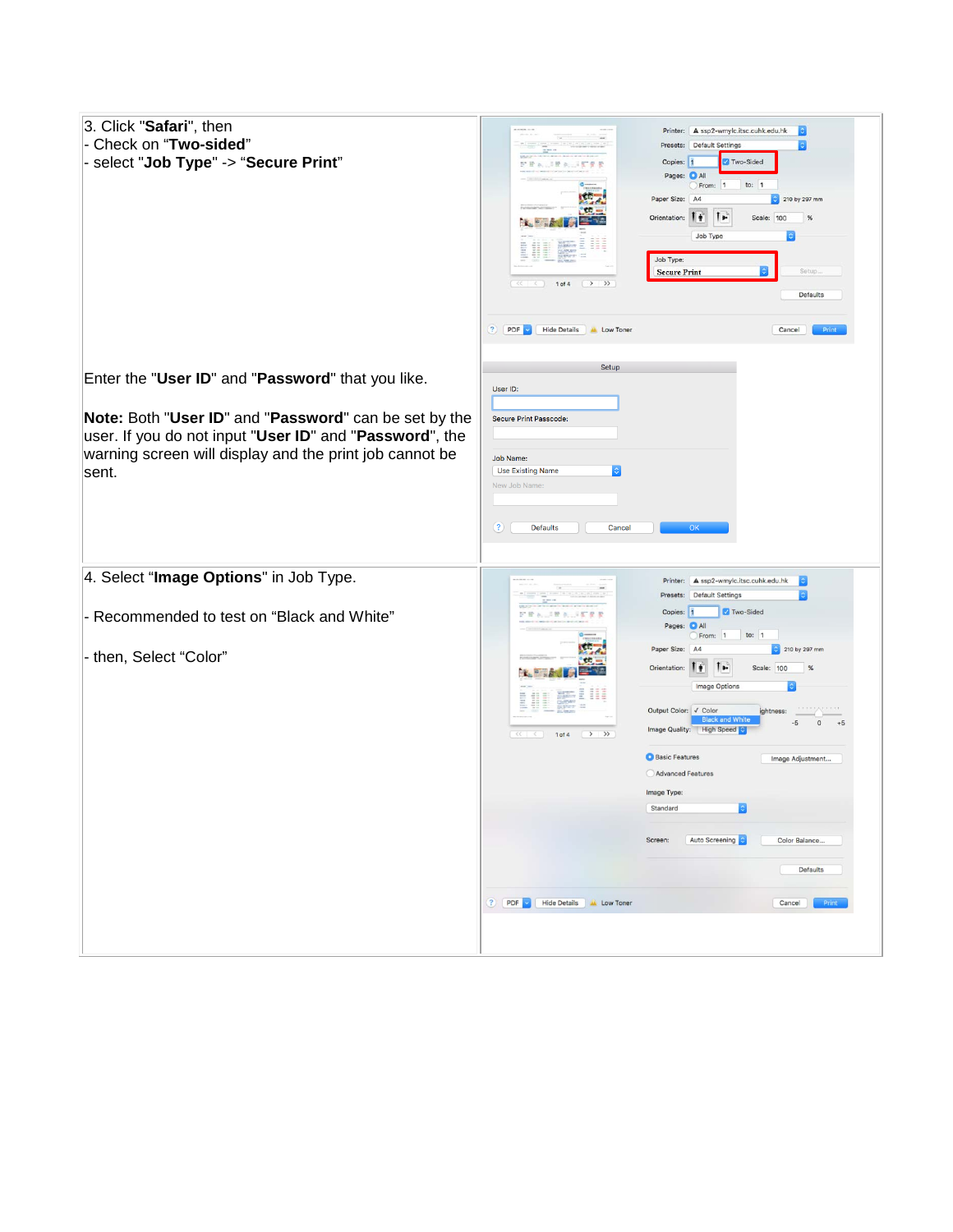| 3. Click "Safari", then<br>- Check on "Two-sided"<br>- select "Job Type" -> "Secure Print"                                  | Printer: A ssp2-wmylc.itsc.cuhk.edu.hk<br>Presets: Default Settings<br>Two-Sided<br>Copies:<br>h<br>FFA SRA IFFE<br>Pages: <b>O</b> All<br>to: $1$<br>From: 1<br>Paper Size: A4<br>210 by 297 mm<br><b>CO</b><br>T»<br>Πŧ<br>Orientation:<br>Scale: 100<br>%<br>Job Type<br>E<br>HE<br>Job Type:<br>Setup.<br><b>Secure Print</b><br>$\rightarrow$ »<br>$\left\langle \left\langle \cdot\right\rangle \right\rangle$<br>1 of 4<br>Defaults<br>$?$ PDF<br><b>Hide Details</b><br>Low Toner<br>Cancel<br>Print |
|-----------------------------------------------------------------------------------------------------------------------------|--------------------------------------------------------------------------------------------------------------------------------------------------------------------------------------------------------------------------------------------------------------------------------------------------------------------------------------------------------------------------------------------------------------------------------------------------------------------------------------------------------------|
| Enter the "User ID" and "Password" that you like.<br>Note: Both "User ID" and "Password" can be set by the                  | Setup<br>User ID:<br>Secure Print Passcode:                                                                                                                                                                                                                                                                                                                                                                                                                                                                  |
| user. If you do not input "User ID" and "Password", the<br>warning screen will display and the print job cannot be<br>sent. | Job Name:<br><b>Use Existing Name</b><br>New Job Name:<br>$\left( 2\right)$<br><b>Defaults</b><br>Cancel<br>OK                                                                                                                                                                                                                                                                                                                                                                                               |
| 4. Select "Image Options" in Job Type.                                                                                      | Printer: A ssp2-wmylc.itsc.cuhk.edu.hk<br>00   count   sets   mone   m   co   co   co   co   con  <br><b>Default Settings</b><br>Presets:<br>Two-Sided<br>Copies: 1<br>三股 a                                                                                                                                                                                                                                                                                                                                  |
| - Recommended to test on "Black and White"<br>- then, Select "Color"                                                        | Pages: O All<br>From: 1<br>to: $1$<br>粵<br>Paper Size: A4<br>210 by 297 mm<br><b>CE</b><br>$\mathbf{F}$<br>Orientation:  <br>Scale: 100<br>%<br><b>Image Options</b><br>Ξ<br>EEE<br><b>CONTRACTOR</b><br>Output Color: √ Color<br>ightness:<br><b>Black and Whi</b><br>$\Omega$<br>$+5$<br>.5<br>Image Quality: High Speed<br>$\rightarrow$<br>1 of 4<br><<<br>$\leq$                                                                                                                                        |
|                                                                                                                             | <b>O</b> Basic Features<br>Image Adjustment<br>Advanced Features<br>Image Type:<br>Standard<br>Auto Screening<br>Screen:<br>Color Balance                                                                                                                                                                                                                                                                                                                                                                    |
|                                                                                                                             | Defaults<br>? PDF Hide Details A Low Toner<br>Cancel<br>Print                                                                                                                                                                                                                                                                                                                                                                                                                                                |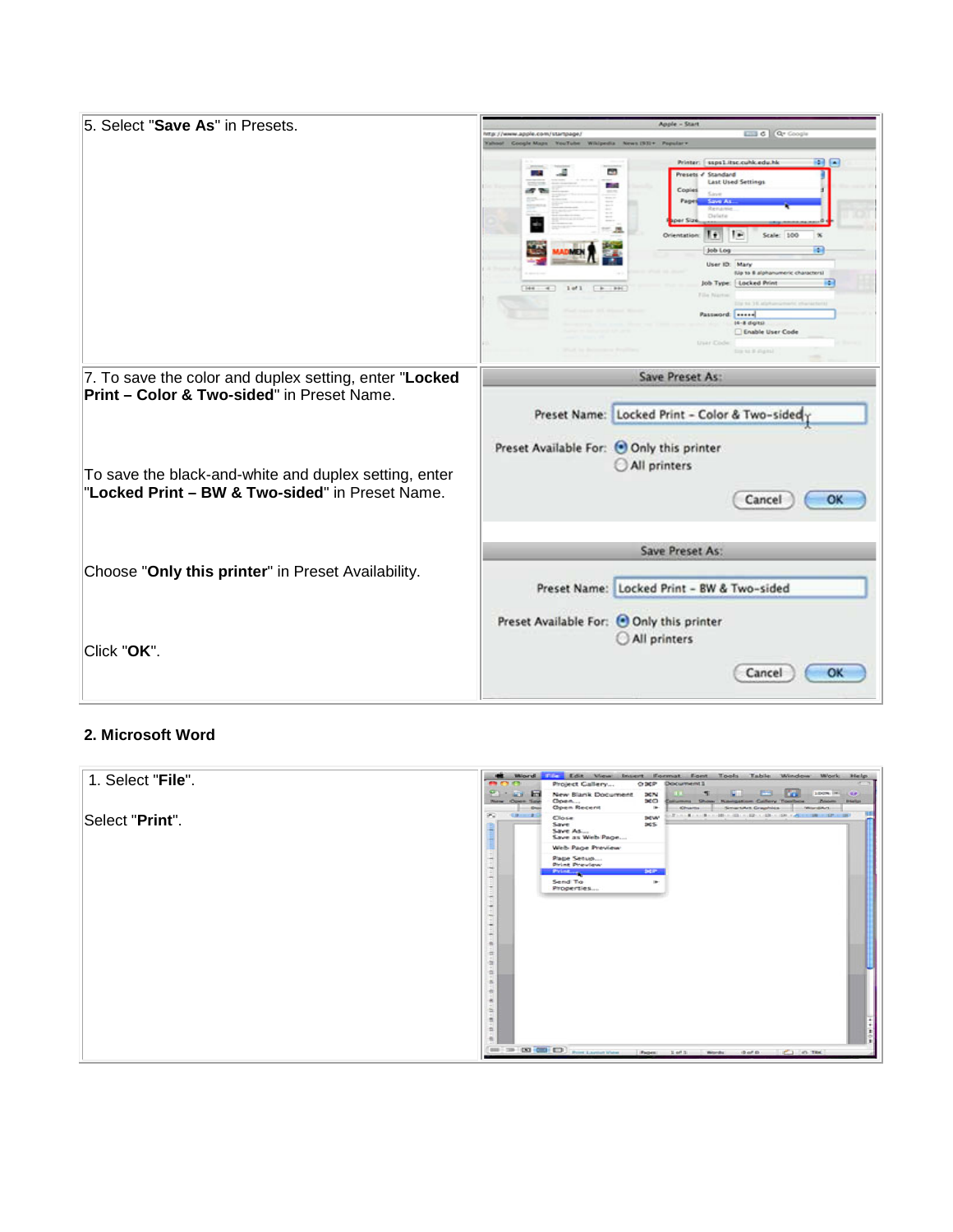| 5. Select "Save As" in Presets.                        | Apple - Start                                                                                                  |
|--------------------------------------------------------|----------------------------------------------------------------------------------------------------------------|
|                                                        | <b>LITT</b> & Qr Coople<br>http://www.apple.com/startpage/<br>Coogle Maps YouTube Whipedia News (ST)+ Popular+ |
|                                                        | $-1$<br>saps1.itsc.cuhk.edu.hk<br>Printer:                                                                     |
|                                                        | C.<br>Presets of Standard                                                                                      |
|                                                        | <b>Last Used Settings</b><br>$-104$<br>Copies                                                                  |
|                                                        | Pages<br>Save As<br>Remare                                                                                     |
|                                                        | Delete                                                                                                         |
|                                                        | $= 5.5$<br>H<br>Orientation:<br>Grade: 1000                                                                    |
|                                                        | æ.<br>Job Log                                                                                                  |
|                                                        | User ID: Mary                                                                                                  |
|                                                        | Ela to 8 alphanumeric characters)<br>æ.<br>Job Type:   Locked Print<br>Total .<br>$2$ of $2$<br>F F<br>$-991$  |
|                                                        | Film Nap<br>THE R R. LEWIS CO., LANSING MICH.                                                                  |
|                                                        | Password:   *****                                                                                              |
|                                                        | $14 - 8$ digits)<br>Enable User Code                                                                           |
|                                                        | truar Code                                                                                                     |
|                                                        | ting to it stigms!                                                                                             |
| 7. To save the color and duplex setting, enter "Locked | Save Preset As:                                                                                                |
| <b>Print - Color &amp; Two-sided"</b> in Preset Name.  |                                                                                                                |
|                                                        | Preset Name: Locked Print - Color & Two-sided                                                                  |
|                                                        |                                                                                                                |
|                                                        | Preset Available For: ● Only this printer                                                                      |
| To save the black-and-white and duplex setting, enter  | All printers                                                                                                   |
| "Locked Print - BW & Two-sided" in Preset Name.        |                                                                                                                |
|                                                        | OK<br>Cancel                                                                                                   |
|                                                        |                                                                                                                |
|                                                        |                                                                                                                |
|                                                        | Save Preset As:                                                                                                |
| Choose "Only this printer" in Preset Availability.     |                                                                                                                |
|                                                        | Preset Name: Locked Print - BW & Two-sided                                                                     |
|                                                        |                                                                                                                |
|                                                        | Preset Available For: ● Only this printer                                                                      |
| Click "OK".                                            | All printers                                                                                                   |
|                                                        |                                                                                                                |
|                                                        | OK<br>Cancel                                                                                                   |
|                                                        |                                                                                                                |

### **2. Microsoft Word**

| 1. Select "File". | Word F. Edit View Insert Format Font Tools Table Window Work<br>×.<br>Help.<br>Project Callery<br><b>Document1</b><br>$\sim$<br>O BEP                                                                                                                                              |
|-------------------|------------------------------------------------------------------------------------------------------------------------------------------------------------------------------------------------------------------------------------------------------------------------------------|
|                   | 100% (m.  CA)<br>New Blank Document<br>Ħ<br>3676<br>an an<br>360<br>Open<br>Zoom<br>New Open Sale<br><b>Navigation Callery Toolbox</b><br><b><i>Distanting</i></b><br>allumina Show<br>Open Recent<br>$\blacksquare$<br>SmartArt Craphics<br>Miterative<br><b>Chame</b><br>$-$ Our |
| Select "Print".   | æ.<br><b>DEW</b><br>Close<br>Save<br>365<br>Save As<br>Save as Web Page                                                                                                                                                                                                            |
|                   | Web Page Preview                                                                                                                                                                                                                                                                   |
|                   | Page Setup<br>đ<br><b>Print Preview</b>                                                                                                                                                                                                                                            |
|                   | Technology<br><b>SCP</b><br><b>Print</b><br>Send To<br>٠                                                                                                                                                                                                                           |
|                   | Properties                                                                                                                                                                                                                                                                         |
|                   |                                                                                                                                                                                                                                                                                    |
|                   |                                                                                                                                                                                                                                                                                    |
|                   | 0-1-1-1-10-10-10-20-20                                                                                                                                                                                                                                                             |
|                   |                                                                                                                                                                                                                                                                                    |
|                   |                                                                                                                                                                                                                                                                                    |
|                   |                                                                                                                                                                                                                                                                                    |
|                   |                                                                                                                                                                                                                                                                                    |
|                   | ä<br>×                                                                                                                                                                                                                                                                             |
|                   | $=$<br>÷                                                                                                                                                                                                                                                                           |
|                   | ×                                                                                                                                                                                                                                                                                  |
|                   | $\mathbf{m} \equiv \mathbf{m} \left( \mathbf{m} \right) \mathbf{m} \left( \mathbf{m} \right)$<br>Pages: 1 of 1 Words: 0 of 0 . C) 0. This                                                                                                                                          |
|                   |                                                                                                                                                                                                                                                                                    |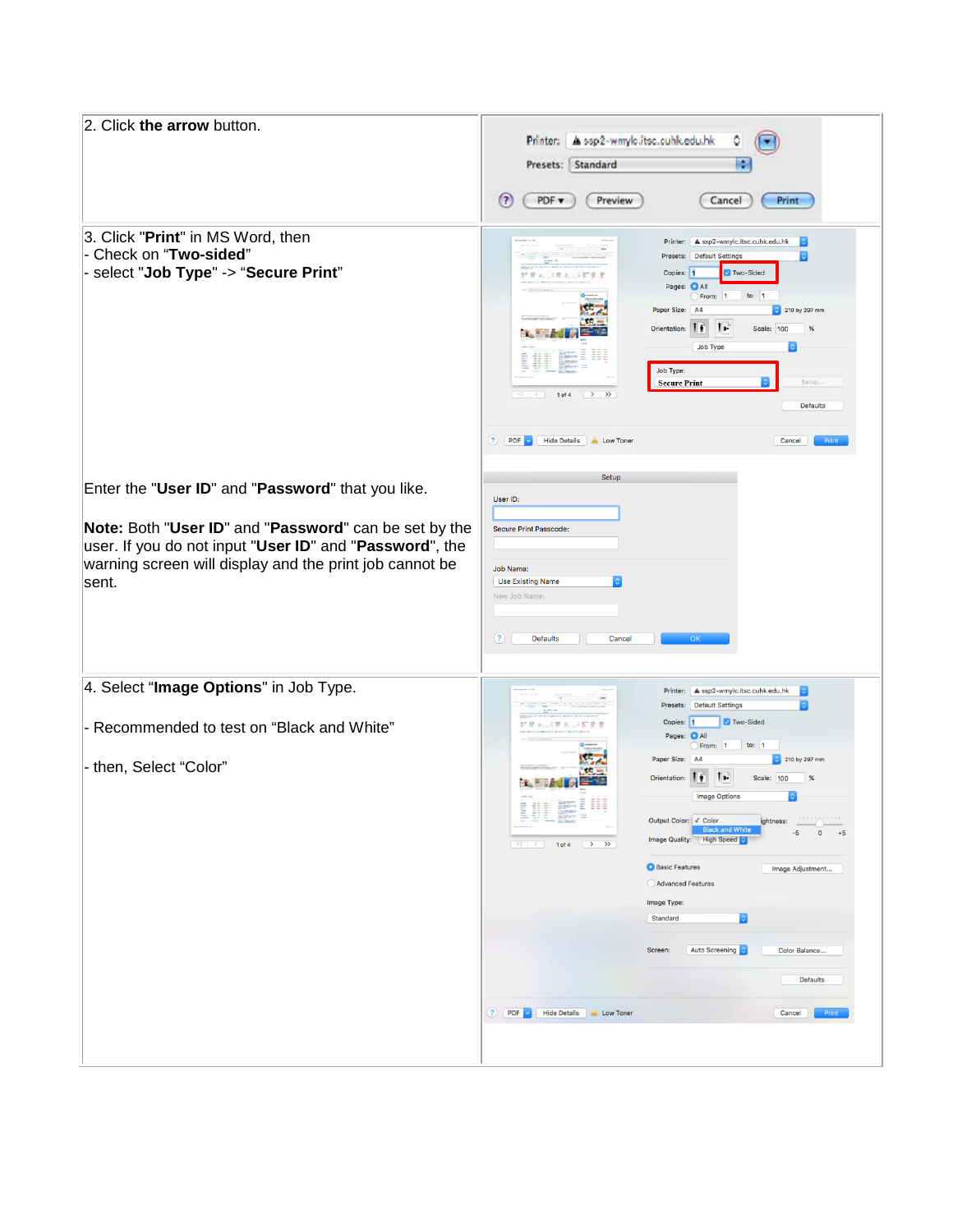| 2. Click the arrow button.                                                                                                                                                                                                                | Printer: A ssp2-wmyle.itsc.cuhk.edu.hk<br>¢<br>Presets: Standard<br>H<br>$\left( 7\right)$<br>PDF v<br>Preview<br>Cancel<br>Print                                                                                                                                                                                                                                                                                                                                                                                                                                                                                                                                                                                                                                                                                                                                                                                 |
|-------------------------------------------------------------------------------------------------------------------------------------------------------------------------------------------------------------------------------------------|-------------------------------------------------------------------------------------------------------------------------------------------------------------------------------------------------------------------------------------------------------------------------------------------------------------------------------------------------------------------------------------------------------------------------------------------------------------------------------------------------------------------------------------------------------------------------------------------------------------------------------------------------------------------------------------------------------------------------------------------------------------------------------------------------------------------------------------------------------------------------------------------------------------------|
| 3. Click "Print" in MS Word, then<br>- Check on "Two-sided"<br>- select "Job Type" -> "Secure Print"                                                                                                                                      | Printer: A ssp2-wmylc.itsc.cuhk.edu.hk<br>$1 - 1 = 1 + 1$<br>Presets: Default Settings<br>Two-Sided<br>Copies: 1<br>38 a 15 f<br>Pages: O All<br>to: $1$<br>From: 1<br>ξD,<br>Paper Size: A4<br>210 by 297 mm<br><b>CO</b><br>$\mathbf{I}$<br>Orientation:<br>Scale: 100<br>$\%$<br>∎∎<br>Job Type<br><b>WAY: 2 222</b><br>E<br>O<br>Colorado<br>$\equiv$<br>Job Type:<br>Setup.<br><b>Secure Print</b><br>$\rightarrow$ »<br>1 of 4<br>Defaults<br>PDF<br><b>Hide Details</b><br>$\left( 3\right)$<br><b>ALL</b> Low Toner<br>Cancel<br>Print                                                                                                                                                                                                                                                                                                                                                                    |
| Enter the "User ID" and "Password" that you like.<br>Note: Both "User ID" and "Password" can be set by the<br>user. If you do not input "User ID" and "Password", the<br>warning screen will display and the print job cannot be<br>sent. | Setup<br>User ID:<br><b>Secure Print Passcode:</b><br>Job Name:<br><b>Use Existing Name</b><br>New Job Name<br>$\left( 3\right)$<br><b>Defaults</b><br>Cancel<br>OK                                                                                                                                                                                                                                                                                                                                                                                                                                                                                                                                                                                                                                                                                                                                               |
| 4. Select "Image Options" in Job Type.<br>- Recommended to test on "Black and White"<br>- then, Select "Color"                                                                                                                            | <b>B</b><br>Printer: A ssp2-wmylc.itsc.cuhk.edu.hk<br>08   200901   2008   0:2007   0:100   10:10<br>Presets: Default Settings<br>$ \hat{\mathbf{c}} $<br>Two-Sided<br>Copies: 1<br>記載 A. 三開 A. 三国皇家<br>Pages: O All<br>From: 1<br>to: $1$<br>Paper Size: A4<br>210 by 297 mm<br>$\mathbf{L}$<br>Orientation:  <br>Scale: 100<br>%<br>Image Options<br><b>ALL NEWS E III</b><br>÷.<br>호표회<br>Siner 12<br><b>RECEIVED FOR</b><br>Output Color: √ Color<br>ightness:<br><b>Black and White</b><br>$-5$ 0 $+5$<br>Image Quality: High Speed<br>$\left(\begin{array}{ccc} \langle\langle\cdot\cdot\rangle & \langle\cdot\cdot\rangle \end{array}\right)$ 1 of 4 $\left(\begin{array}{ccc} \cdot & \cdot & \cdot \\ \cdot & \cdot & \cdot \end{array}\right)$<br><b>O</b> Basic Features<br>Image Adjustment<br>Advanced Features<br>Image Type:<br>Standard<br>Auto Screening<br>Screen:<br>Color Balance<br>Defaults |
|                                                                                                                                                                                                                                           | ? PDF Hide Details A Low Toner<br>Print<br>Cancel                                                                                                                                                                                                                                                                                                                                                                                                                                                                                                                                                                                                                                                                                                                                                                                                                                                                 |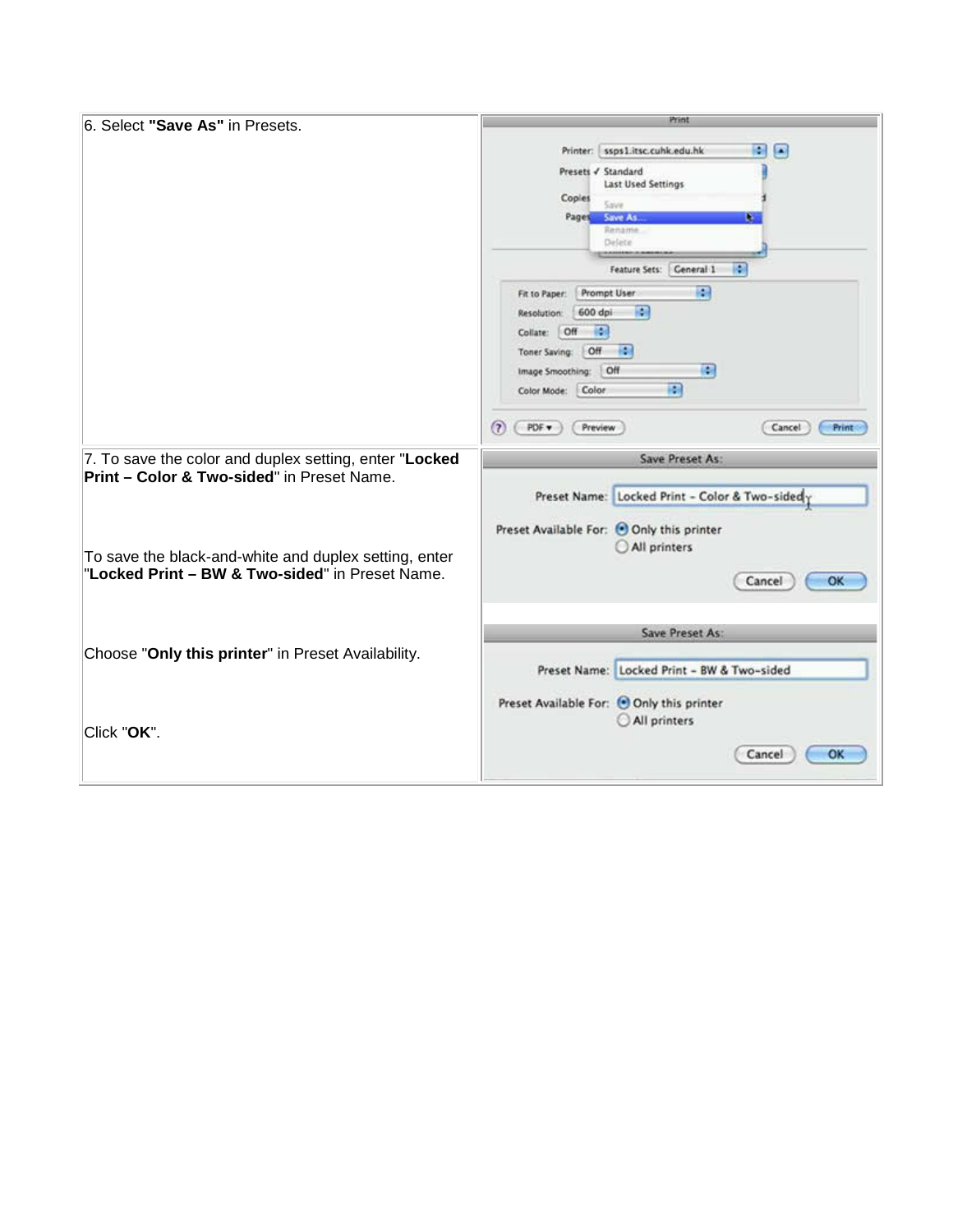| 6. Select "Save As" in Presets.                        | Print                                                     |
|--------------------------------------------------------|-----------------------------------------------------------|
|                                                        |                                                           |
|                                                        | ssps1.itsc.cuhk.edu.hk<br>۰<br>$\blacksquare$<br>Printer: |
|                                                        | Presets √ Standard<br>Last Used Settings                  |
|                                                        | Copies                                                    |
|                                                        | Save<br>Save As<br>Pages<br>ш                             |
|                                                        | Rename                                                    |
|                                                        | Delete                                                    |
|                                                        | Feature Sets:   General-1<br>n                            |
|                                                        | 圖<br>Prompt User<br>Fit to Paper:                         |
|                                                        | <b>RM</b><br>600 dpi<br>Resolution:                       |
|                                                        | $\{a\}$<br>Collate: Off                                   |
|                                                        | - 199<br><b>Off</b><br>Toner Saving:                      |
|                                                        | 标准<br>Image Smoothing: Off                                |
|                                                        | m<br>Color<br>Color Mode:                                 |
|                                                        |                                                           |
|                                                        | 2<br>PDF v<br>Preview<br>Cancel<br>Print                  |
| 7. To save the color and duplex setting, enter "Locked | Save Preset As:                                           |
| <b>Print - Color &amp; Two-sided"</b> in Preset Name.  |                                                           |
|                                                        | Preset Name: Locked Print - Color & Two-sided             |
|                                                        |                                                           |
|                                                        | Preset Available For: O Only this printer                 |
| To save the black-and-white and duplex setting, enter  | All printers                                              |
| "Locked Print - BW & Two-sided" in Preset Name.        | OK<br>Cancel                                              |
|                                                        |                                                           |
|                                                        |                                                           |
|                                                        | Save Preset As:                                           |
| Choose "Only this printer" in Preset Availability.     |                                                           |
|                                                        | Preset Name: Locked Print - BW & Two-sided                |
|                                                        |                                                           |
|                                                        |                                                           |
|                                                        | Preset Available For: Only this printer                   |
| Click "OK".                                            | All printers                                              |
|                                                        | OK<br>Cancel                                              |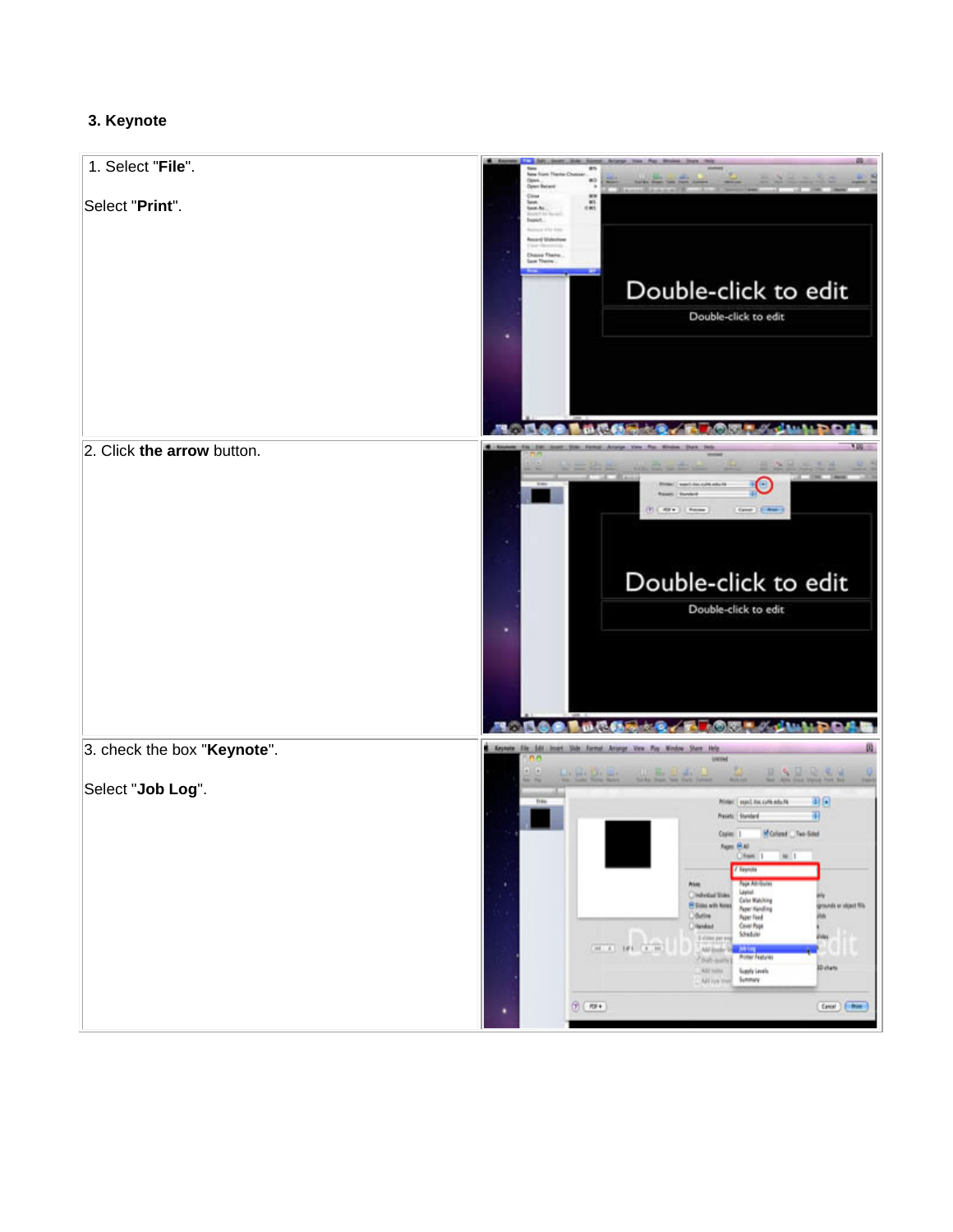## **3. Keynote**

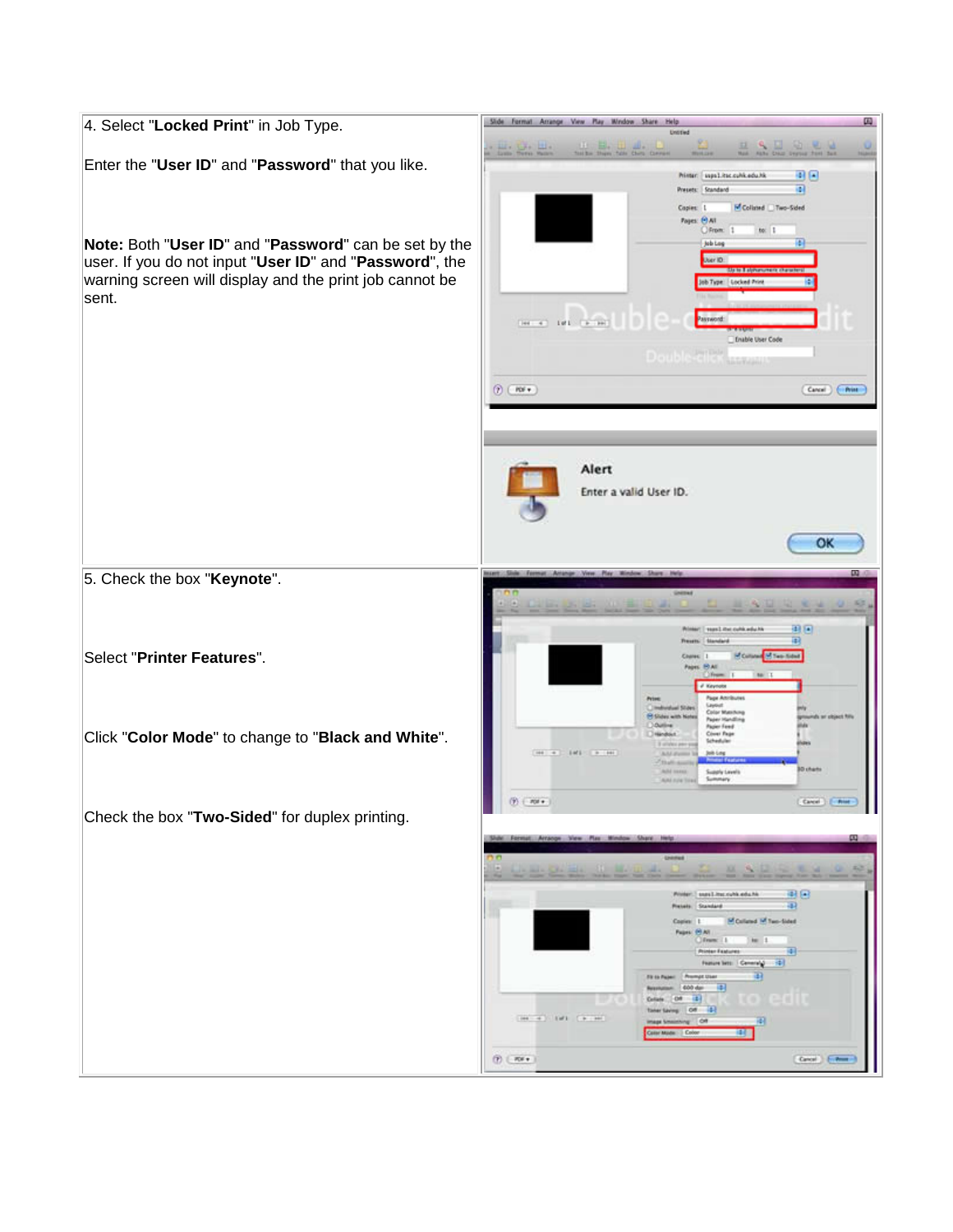